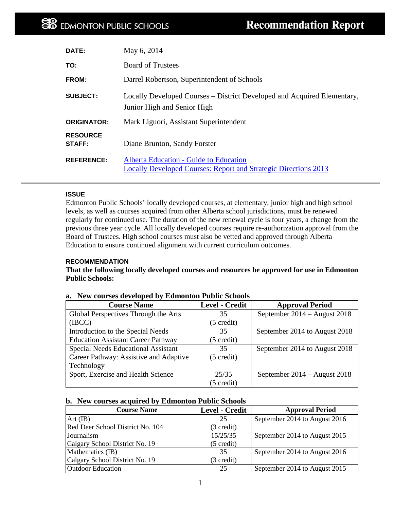| DATE:                     | May 6, 2014                                                                                                      |
|---------------------------|------------------------------------------------------------------------------------------------------------------|
| TO:                       | <b>Board of Trustees</b>                                                                                         |
| <b>FROM:</b>              | Darrel Robertson, Superintendent of Schools                                                                      |
| <b>SUBJECT:</b>           | Locally Developed Courses – District Developed and Acquired Elementary,<br>Junior High and Senior High           |
| <b>ORIGINATOR:</b>        | Mark Liguori, Assistant Superintendent                                                                           |
| <b>RESOURCE</b><br>STAFF: | Diane Brunton, Sandy Forster                                                                                     |
| <b>REFERENCE:</b>         | Alberta Education - Guide to Education<br><b>Locally Developed Courses: Report and Strategic Directions 2013</b> |

# **ISSUE**

Edmonton Public Schools' locally developed courses, at elementary, junior high and high school levels, as well as courses acquired from other Alberta school jurisdictions, must be renewed regularly for continued use. The duration of the new renewal cycle is four years, a change from the previous three year cycle. All locally developed courses require re-authorization approval from the Board of Trustees. High school courses must also be vetted and approved through Alberta Education to ensure continued alignment with current curriculum outcomes.

## **RECOMMENDATION**

**That the following locally developed courses and resources be approved for use in Edmonton Public Schools:**

| <b>Course Name</b>                        | <b>Level - Credit</b> | <b>Approval Period</b>        |
|-------------------------------------------|-----------------------|-------------------------------|
| Global Perspectives Through the Arts      | 35                    | September 2014 – August 2018  |
| (IECC)                                    | $(5 \text{ credit})$  |                               |
| Introduction to the Special Needs         | 35                    | September 2014 to August 2018 |
| <b>Education Assistant Career Pathway</b> | $(5 \text{ credit})$  |                               |
| Special Needs Educational Assistant       | 35                    | September 2014 to August 2018 |
| Career Pathway: Assistive and Adaptive    | $(5 \text{ credit})$  |                               |
| Technology                                |                       |                               |
| Sport, Exercise and Health Science        | 25/35                 | September 2014 – August 2018  |
|                                           | $(5 \text{ credit})$  |                               |

## **a. New courses developed by Edmonton Public Schools**

## **b. New courses acquired by Edmonton Public Schools**

| <b>Course Name</b>               | <b>Level - Credit</b> | <b>Approval Period</b>        |
|----------------------------------|-----------------------|-------------------------------|
| $Art$ (IB)                       | 25                    | September 2014 to August 2016 |
| Red Deer School District No. 104 | (3 credit)            |                               |
| Journalism                       | 15/25/35              | September 2014 to August 2015 |
| Calgary School District No. 19   | $(5 \text{ credit})$  |                               |
| Mathematics (IB)                 | 35                    | September 2014 to August 2016 |
| Calgary School District No. 19   | (3 credit)            |                               |
| <b>Outdoor Education</b>         | 25                    | September 2014 to August 2015 |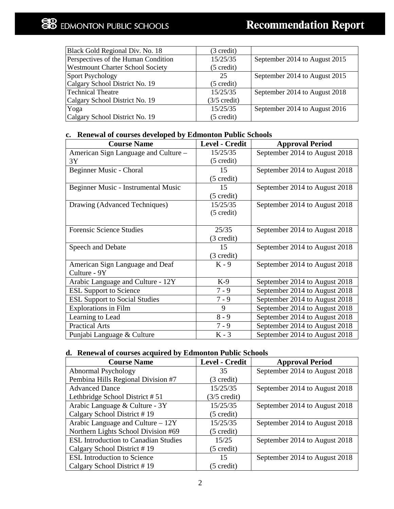# **EDMONTON PUBLIC SCHOOLS**

| Black Gold Regional Div. No. 18         | (3 credit)             |                               |
|-----------------------------------------|------------------------|-------------------------------|
| Perspectives of the Human Condition     | 15/25/35               | September 2014 to August 2015 |
| <b>Westmount Charter School Society</b> | $(5 \text{ credit})$   |                               |
| Sport Psychology                        | 25                     | September 2014 to August 2015 |
| Calgary School District No. 19          | $(5 \text{ credit})$   |                               |
| Technical Theatre                       | 15/25/35               | September 2014 to August 2018 |
| Calgary School District No. 19          | $(3/5 \text{ credit})$ |                               |
| Yoga                                    | 15/25/35               | September 2014 to August 2016 |
| Calgary School District No. 19          | $(5 \text{ credit})$   |                               |

# **c. Renewal of courses developed by Edmonton Public Schools**

| <b>Course Name</b>                   | <b>Level - Credit</b> | <b>Approval Period</b>        |
|--------------------------------------|-----------------------|-------------------------------|
| American Sign Language and Culture - | 15/25/35              | September 2014 to August 2018 |
| 3Y                                   | $(5 \text{ credit})$  |                               |
| Beginner Music - Choral              | 15                    | September 2014 to August 2018 |
|                                      | $(5 \text{ credit})$  |                               |
| Beginner Music - Instrumental Music  | 15                    | September 2014 to August 2018 |
|                                      | $(5 \text{ credit})$  |                               |
| Drawing (Advanced Techniques)        | 15/25/35              | September 2014 to August 2018 |
|                                      | $(5 \text{ credit})$  |                               |
|                                      |                       |                               |
| <b>Forensic Science Studies</b>      | 25/35                 | September 2014 to August 2018 |
|                                      | (3 credit)            |                               |
| Speech and Debate                    | 15                    | September 2014 to August 2018 |
|                                      | (3 credit)            |                               |
| American Sign Language and Deaf      | $K - 9$               | September 2014 to August 2018 |
| Culture - 9Y                         |                       |                               |
| Arabic Language and Culture - 12Y    | $K-9$                 | September 2014 to August 2018 |
| <b>ESL Support to Science</b>        | $7 - 9$               | September 2014 to August 2018 |
| <b>ESL Support to Social Studies</b> | $7 - 9$               | September 2014 to August 2018 |
| <b>Explorations in Film</b>          | 9                     | September 2014 to August 2018 |
| Learning to Lead                     | $8 - 9$               | September 2014 to August 2018 |
| <b>Practical Arts</b>                | $7 - 9$               | September 2014 to August 2018 |
| Punjabi Language & Culture           | $K - 3$               | September 2014 to August 2018 |

# **d. Renewal of courses acquired by Edmonton Public Schools**

| <b>Course Name</b>                          | <b>Level - Credit</b>  | <b>Approval Period</b>        |
|---------------------------------------------|------------------------|-------------------------------|
| Abnormal Psychology                         | 35                     | September 2014 to August 2018 |
| Pembina Hills Regional Division #7          | $(3 \text{ credit})$   |                               |
| <b>Advanced Dance</b>                       | 15/25/35               | September 2014 to August 2018 |
| Lethbridge School District #51              | $(3/5 \text{ credit})$ |                               |
| Arabic Language & Culture - 3Y              | 15/25/35               | September 2014 to August 2018 |
| Calgary School District #19                 | $(5 \text{ credit})$   |                               |
| Arabic Language and Culture $-12Y$          | 15/25/35               | September 2014 to August 2018 |
| Northern Lights School Division #69         | $(5 \text{ credit})$   |                               |
| <b>ESL Introduction to Canadian Studies</b> | 15/25                  | September 2014 to August 2018 |
| Calgary School District #19                 | $(5 \text{ credit})$   |                               |
| <b>ESL Introduction to Science</b>          | 15                     | September 2014 to August 2018 |
| Calgary School District #19                 | $(5 \text{ credit})$   |                               |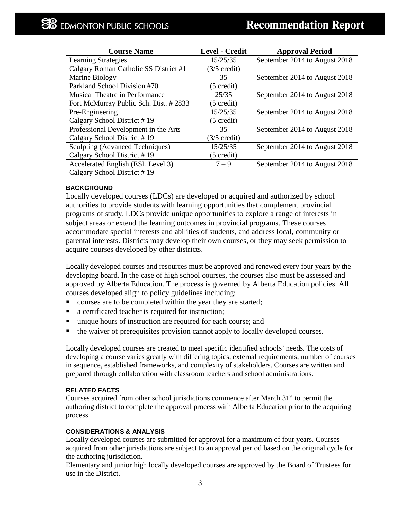| <b>Course Name</b>                    | <b>Level - Credit</b>  | <b>Approval Period</b>        |
|---------------------------------------|------------------------|-------------------------------|
| <b>Learning Strategies</b>            | 15/25/35               | September 2014 to August 2018 |
| Calgary Roman Catholic SS District #1 | $(3/5 \text{ credit})$ |                               |
| Marine Biology                        | 35                     | September 2014 to August 2018 |
| Parkland School Division #70          | $(5 \text{ credit})$   |                               |
| <b>Musical Theatre in Performance</b> | 25/35                  | September 2014 to August 2018 |
| Fort McMurray Public Sch. Dist. #2833 | $(5 \text{ credit})$   |                               |
| Pre-Engineering                       | 15/25/35               | September 2014 to August 2018 |
| Calgary School District #19           | $(5 \text{ credit})$   |                               |
| Professional Development in the Arts  | 35                     | September 2014 to August 2018 |
| Calgary School District #19           | $(3/5 \text{ credit})$ |                               |
| Sculpting (Advanced Techniques)       | 15/25/35               | September 2014 to August 2018 |
| Calgary School District #19           | $(5 \text{ credit})$   |                               |
| Accelerated English (ESL Level 3)     | $7 - 9$                | September 2014 to August 2018 |
| Calgary School District #19           |                        |                               |

# **BACKGROUND**

Locally developed courses (LDCs) are developed or acquired and authorized by school authorities to provide students with learning opportunities that complement provincial programs of study. LDCs provide unique opportunities to explore a range of interests in subject areas or extend the learning outcomes in provincial programs. These courses accommodate special interests and abilities of students, and address local, community or parental interests. Districts may develop their own courses, or they may seek permission to acquire courses developed by other districts.

Locally developed courses and resources must be approved and renewed every four years by the developing board. In the case of high school courses, the courses also must be assessed and approved by Alberta Education. The process is governed by Alberta Education policies. All courses developed align to policy guidelines including:

- courses are to be completed within the year they are started;
- a certificated teacher is required for instruction;
- unique hours of instruction are required for each course; and
- the waiver of prerequisites provision cannot apply to locally developed courses.

Locally developed courses are created to meet specific identified schools' needs. The costs of developing a course varies greatly with differing topics, external requirements, number of courses in sequence, established frameworks, and complexity of stakeholders. Courses are written and prepared through collaboration with classroom teachers and school administrations.

# **RELATED FACTS**

Courses acquired from other school jurisdictions commence after March  $31<sup>st</sup>$  to permit the authoring district to complete the approval process with Alberta Education prior to the acquiring process.

# **CONSIDERATIONS & ANALYSIS**

Locally developed courses are submitted for approval for a maximum of four years. Courses acquired from other jurisdictions are subject to an approval period based on the original cycle for the authoring jurisdiction.

Elementary and junior high locally developed courses are approved by the Board of Trustees for use in the District.